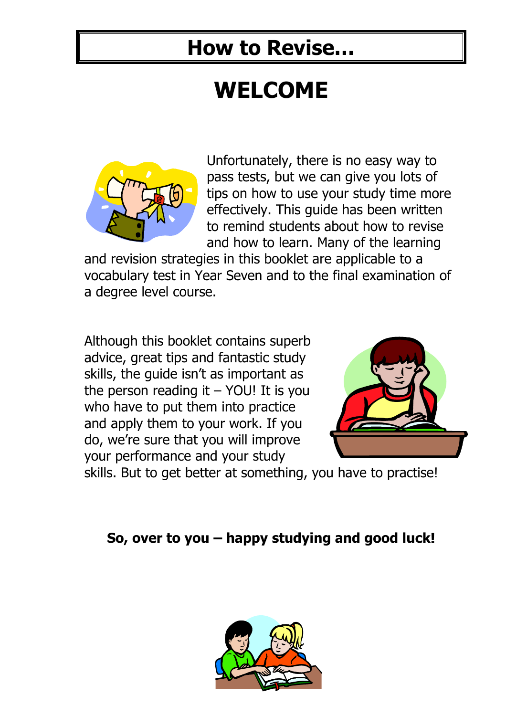# **WELCOME**



Unfortunately, there is no easy way to pass tests, but we can give you lots of tips on how to use your study time more effectively. This guide has been written to remind students about how to revise and how to learn. Many of the learning

and revision strategies in this booklet are applicable to a vocabulary test in Year Seven and to the final examination of a degree level course.

Although this booklet contains superb advice, great tips and fantastic study skills, the guide isn't as important as the person reading it  $-$  YOU! It is you who have to put them into practice and apply them to your work. If you do, we're sure that you will improve your performance and your study



skills. But to get better at something, you have to practise!

### **So, over to you – happy studying and good luck!**

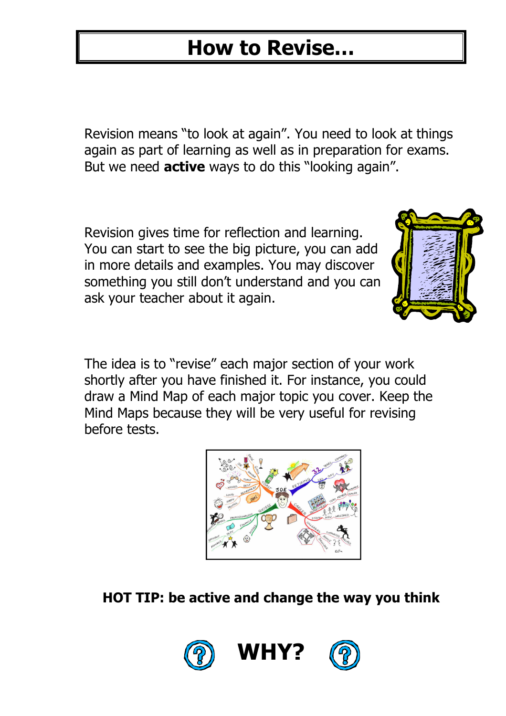Revision means "to look at again". You need to look at things again as part of learning as well as in preparation for exams. But we need **active** ways to do this "looking again".

Revision gives time for reflection and learning. You can start to see the big picture, you can add in more details and examples. You may discover something you still don't understand and you can ask your teacher about it again.



The idea is to "revise" each major section of your work shortly after you have finished it. For instance, you could draw a Mind Map of each major topic you cover. Keep the Mind Maps because they will be very useful for revising before tests.



#### **HOT TIP: be active and change the way you think**





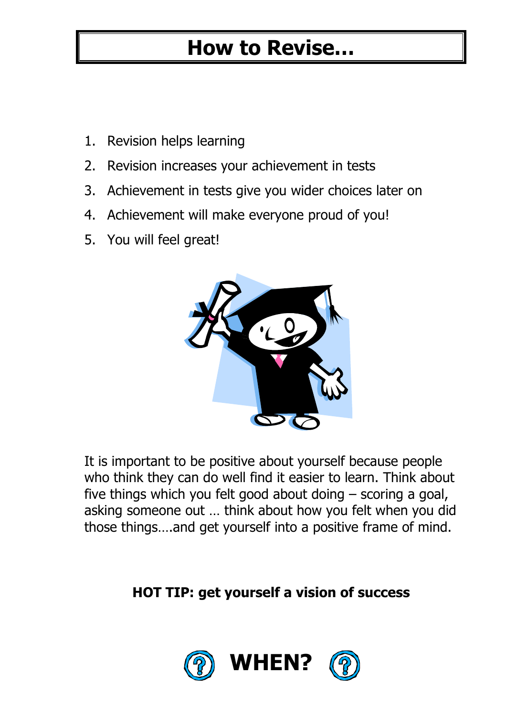- 1. Revision helps learning
- 2. Revision increases your achievement in tests
- 3. Achievement in tests give you wider choices later on
- 4. Achievement will make everyone proud of you!
- 5. You will feel great!



It is important to be positive about yourself because people who think they can do well find it easier to learn. Think about five things which you felt good about doing – scoring a goal, asking someone out … think about how you felt when you did those things….and get yourself into a positive frame of mind.

### **HOT TIP: get yourself a vision of success**

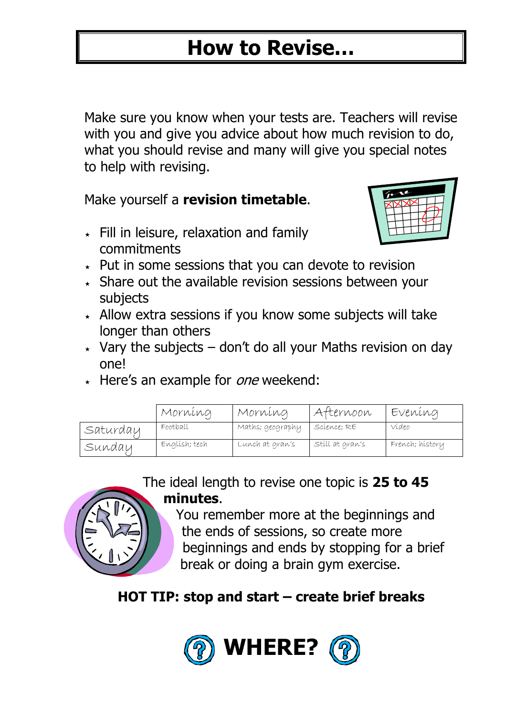Make sure you know when your tests are. Teachers will revise with you and give you advice about how much revision to do, what you should revise and many will give you special notes to help with revising.

Make yourself a **revision timetable**.

 $\star$  Fill in leisure, relaxation and family commitments



- $\star$  Put in some sessions that you can devote to revision
- $\star$  Share out the available revision sessions between your subjects
- $\star$  Allow extra sessions if you know some subjects will take longer than others
- $\star$  Vary the subjects don't do all your Maths revision on day one!
- $\star$  Here's an example for *one* weekend:

|          | Morning       | Morning          | Afternoon       | Evening         |
|----------|---------------|------------------|-----------------|-----------------|
| Saturday | Football      | Maths; geography | Scíence; RE     | Vídeo           |
| Sundau   | Englísh; tech | Lunch at gran's  | Stíll at gran's | French; hístory |

The ideal length to revise one topic is **25 to 45 minutes**.



### **HOT TIP: stop and start – create brief breaks**

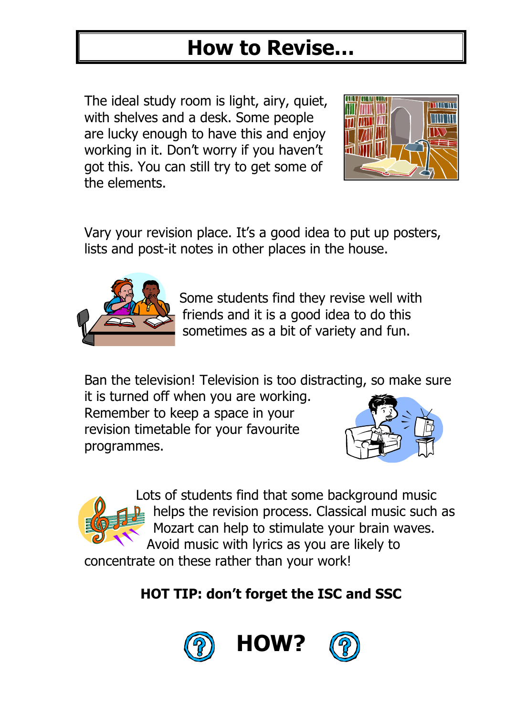The ideal study room is light, airy, quiet, with shelves and a desk. Some people are lucky enough to have this and enjoy working in it. Don't worry if you haven't got this. You can still try to get some of the elements.



Vary your revision place. It's a good idea to put up posters, lists and post-it notes in other places in the house.



Some students find they revise well with friends and it is a good idea to do this sometimes as a bit of variety and fun.

Ban the television! Television is too distracting, so make sure

it is turned off when you are working. Remember to keep a space in your revision timetable for your favourite programmes.



Lots of students find that some background music helps the revision process. Classical music such as Mozart can help to stimulate your brain waves. Avoid music with lyrics as you are likely to

concentrate on these rather than your work!

### **HOT TIP: don't forget the ISC and SSC**





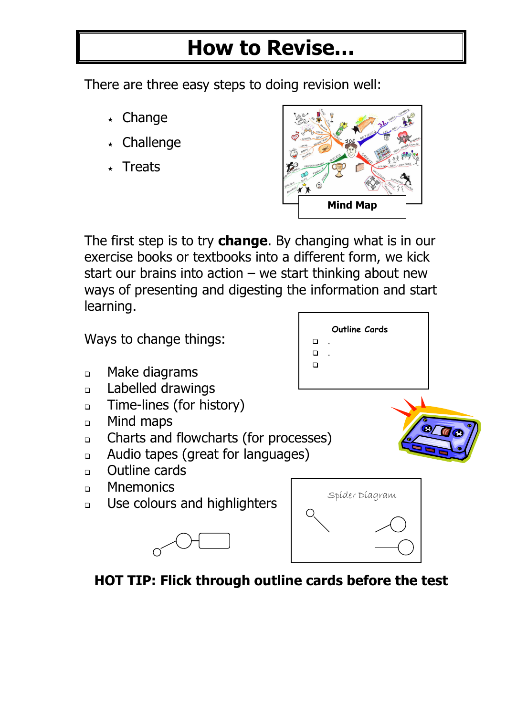There are three easy steps to doing revision well:

- $\star$  Change
- Challenge
- **Treats**



The first step is to try **change**. By changing what is in our exercise books or textbooks into a different form, we kick start our brains into action  $-$  we start thinking about new ways of presenting and digesting the information and start learning.



**HOT TIP: Flick through outline cards before the test**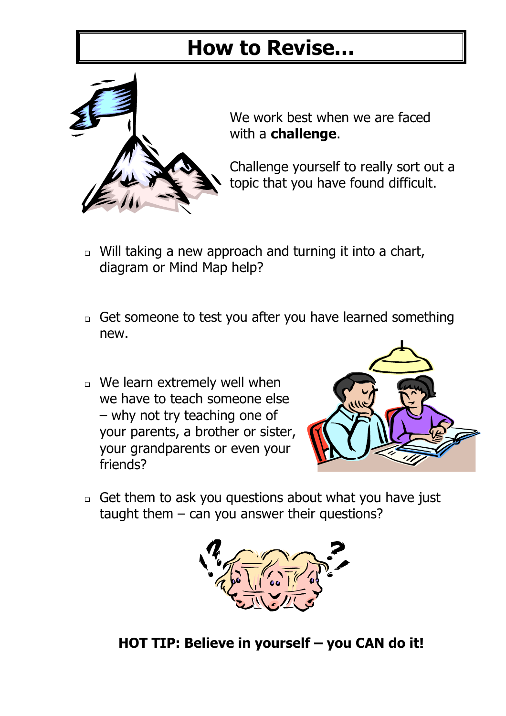

We work best when we are faced with a **challenge**.

Challenge yourself to really sort out a topic that you have found difficult.

- Will taking a new approach and turning it into a chart, diagram or Mind Map help?
- Get someone to test you after you have learned something new.
- We learn extremely well when we have to teach someone else – why not try teaching one of your parents, a brother or sister, your grandparents or even your friends?



- Get them to ask you questions about what you have just taught them  $-$  can you answer their questions?



**HOT TIP: Believe in yourself – you CAN do it!**